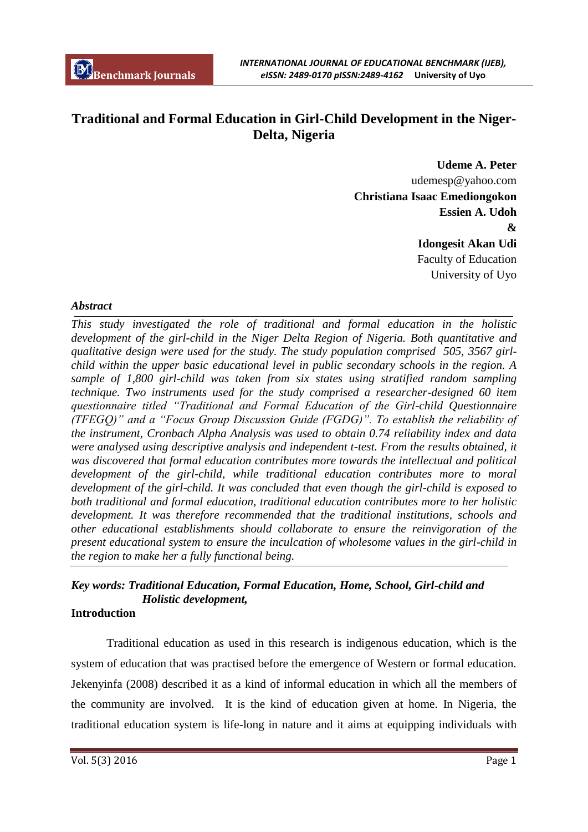# **Traditional and Formal Education in Girl-Child Development in the Niger-Delta, Nigeria**

**Udeme A. Peter** udemesp@yahoo.com **Christiana Isaac Emediongokon Essien A. Udoh & Idongesit Akan Udi** Faculty of Education University of Uyo

# *Abstract*

*This study investigated the role of traditional and formal education in the holistic development of the girl-child in the Niger Delta Region of Nigeria. Both quantitative and qualitative design were used for the study. The study population comprised 505, 3567 girlchild within the upper basic educational level in public secondary schools in the region. A sample of 1,800 girl-child was taken from six states using stratified random sampling technique. Two instruments used for the study comprised a researcher-designed 60 item questionnaire titled "Traditional and Formal Education of the Girl-child Questionnaire (TFEGQ)" and a "Focus Group Discussion Guide (FGDG)". To establish the reliability of the instrument, Cronbach Alpha Analysis was used to obtain 0.74 reliability index and data were analysed using descriptive analysis and independent t-test. From the results obtained, it was discovered that formal education contributes more towards the intellectual and political development of the girl-child, while traditional education contributes more to moral development of the girl-child. It was concluded that even though the girl-child is exposed to both traditional and formal education, traditional education contributes more to her holistic development. It was therefore recommended that the traditional institutions, schools and other educational establishments should collaborate to ensure the reinvigoration of the present educational system to ensure the inculcation of wholesome values in the girl-child in the region to make her a fully functional being.* 

# *Key words: Traditional Education, Formal Education, Home, School, Girl-child and Holistic development,*

## **Introduction**

Traditional education as used in this research is indigenous education, which is the system of education that was practised before the emergence of Western or formal education. Jekenyinfa (2008) described it as a kind of informal education in which all the members of the community are involved. It is the kind of education given at home. In Nigeria, the traditional education system is life-long in nature and it aims at equipping individuals with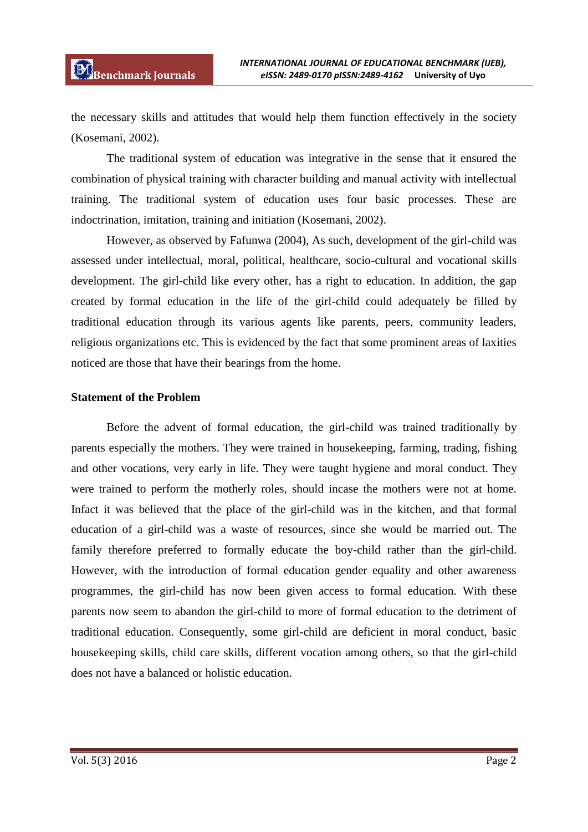the necessary skills and attitudes that would help them function effectively in the society (Kosemani, 2002).

The traditional system of education was integrative in the sense that it ensured the combination of physical training with character building and manual activity with intellectual training. The traditional system of education uses four basic processes. These are indoctrination, imitation, training and initiation (Kosemani, 2002).

However, as observed by Fafunwa (2004), As such, development of the girl-child was assessed under intellectual, moral, political, healthcare, socio-cultural and vocational skills development. The girl-child like every other, has a right to education. In addition, the gap created by formal education in the life of the girl-child could adequately be filled by traditional education through its various agents like parents, peers, community leaders, religious organizations etc. This is evidenced by the fact that some prominent areas of laxities noticed are those that have their bearings from the home.

## **Statement of the Problem**

Before the advent of formal education, the girl-child was trained traditionally by parents especially the mothers. They were trained in housekeeping, farming, trading, fishing and other vocations, very early in life. They were taught hygiene and moral conduct. They were trained to perform the motherly roles, should incase the mothers were not at home. Infact it was believed that the place of the girl-child was in the kitchen, and that formal education of a girl-child was a waste of resources, since she would be married out. The family therefore preferred to formally educate the boy-child rather than the girl-child. However, with the introduction of formal education gender equality and other awareness programmes, the girl-child has now been given access to formal education. With these parents now seem to abandon the girl-child to more of formal education to the detriment of traditional education. Consequently, some girl-child are deficient in moral conduct, basic housekeeping skills, child care skills, different vocation among others, so that the girl-child does not have a balanced or holistic education.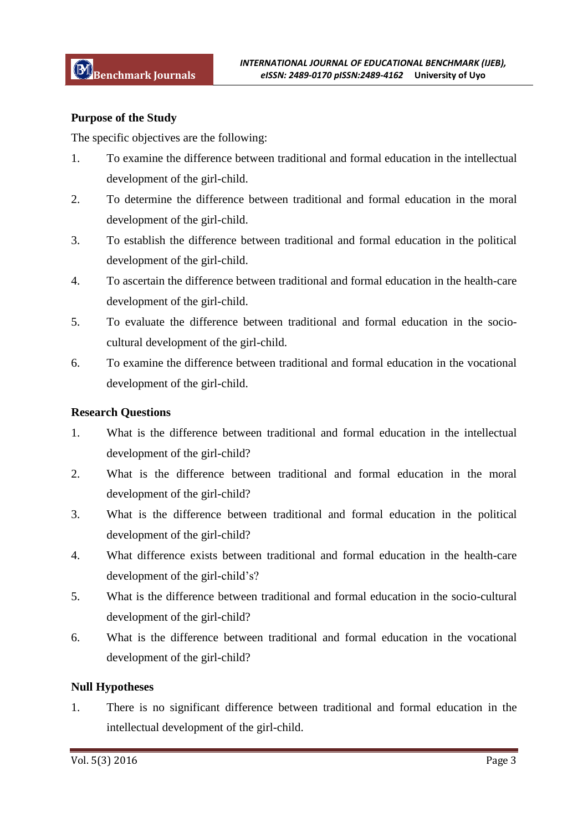## **Purpose of the Study**

The specific objectives are the following:

- 1. To examine the difference between traditional and formal education in the intellectual development of the girl-child.
- 2. To determine the difference between traditional and formal education in the moral development of the girl-child.
- 3. To establish the difference between traditional and formal education in the political development of the girl-child.
- 4. To ascertain the difference between traditional and formal education in the health-care development of the girl-child.
- 5. To evaluate the difference between traditional and formal education in the sociocultural development of the girl-child.
- 6. To examine the difference between traditional and formal education in the vocational development of the girl-child.

## **Research Questions**

- 1. What is the difference between traditional and formal education in the intellectual development of the girl-child?
- 2. What is the difference between traditional and formal education in the moral development of the girl-child?
- 3. What is the difference between traditional and formal education in the political development of the girl-child?
- 4. What difference exists between traditional and formal education in the health-care development of the girl-child's?
- 5. What is the difference between traditional and formal education in the socio-cultural development of the girl-child?
- 6. What is the difference between traditional and formal education in the vocational development of the girl-child?

#### **Null Hypotheses**

1. There is no significant difference between traditional and formal education in the intellectual development of the girl-child.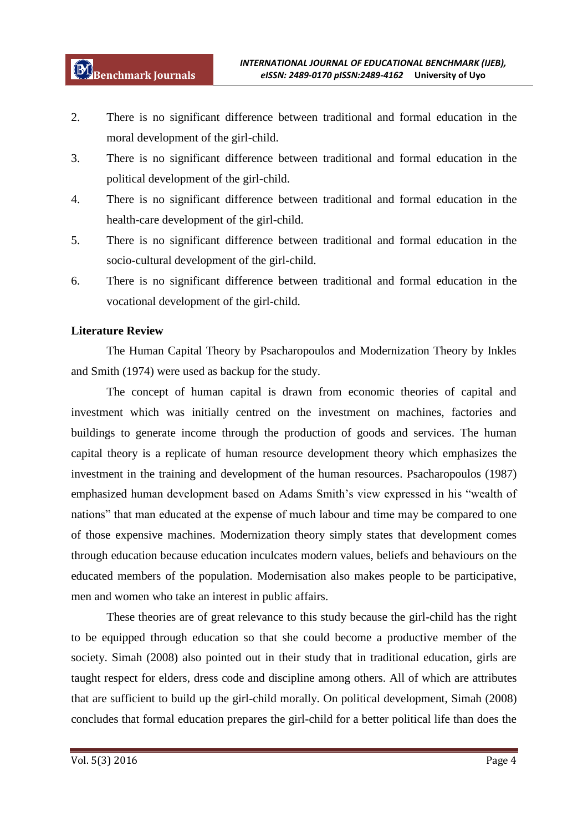- 2. There is no significant difference between traditional and formal education in the moral development of the girl-child.
- 3. There is no significant difference between traditional and formal education in the political development of the girl-child.
- 4. There is no significant difference between traditional and formal education in the health-care development of the girl-child.
- 5. There is no significant difference between traditional and formal education in the socio-cultural development of the girl-child.
- 6. There is no significant difference between traditional and formal education in the vocational development of the girl-child.

# **Literature Review**

The Human Capital Theory by Psacharopoulos and Modernization Theory by Inkles and Smith (1974) were used as backup for the study.

The concept of human capital is drawn from economic theories of capital and investment which was initially centred on the investment on machines, factories and buildings to generate income through the production of goods and services. The human capital theory is a replicate of human resource development theory which emphasizes the investment in the training and development of the human resources. Psacharopoulos (1987) emphasized human development based on Adams Smith"s view expressed in his "wealth of nations" that man educated at the expense of much labour and time may be compared to one of those expensive machines. Modernization theory simply states that development comes through education because education inculcates modern values, beliefs and behaviours on the educated members of the population. Modernisation also makes people to be participative, men and women who take an interest in public affairs.

These theories are of great relevance to this study because the girl-child has the right to be equipped through education so that she could become a productive member of the society. Simah (2008) also pointed out in their study that in traditional education, girls are taught respect for elders, dress code and discipline among others. All of which are attributes that are sufficient to build up the girl-child morally. On political development, Simah (2008) concludes that formal education prepares the girl-child for a better political life than does the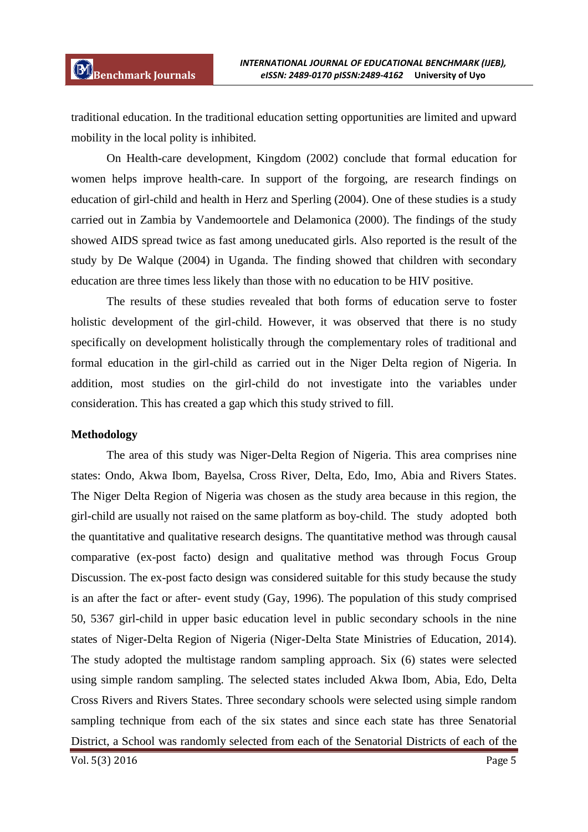traditional education. In the traditional education setting opportunities are limited and upward mobility in the local polity is inhibited.

On Health-care development, Kingdom (2002) conclude that formal education for women helps improve health-care. In support of the forgoing, are research findings on education of girl-child and health in Herz and Sperling (2004). One of these studies is a study carried out in Zambia by Vandemoortele and Delamonica (2000). The findings of the study showed AIDS spread twice as fast among uneducated girls. Also reported is the result of the study by De Walque (2004) in Uganda. The finding showed that children with secondary education are three times less likely than those with no education to be HIV positive.

The results of these studies revealed that both forms of education serve to foster holistic development of the girl-child. However, it was observed that there is no study specifically on development holistically through the complementary roles of traditional and formal education in the girl-child as carried out in the Niger Delta region of Nigeria. In addition, most studies on the girl-child do not investigate into the variables under consideration. This has created a gap which this study strived to fill.

#### **Methodology**

The area of this study was Niger-Delta Region of Nigeria. This area comprises nine states: Ondo, Akwa Ibom, Bayelsa, Cross River, Delta, Edo, Imo, Abia and Rivers States. The Niger Delta Region of Nigeria was chosen as the study area because in this region, the girl-child are usually not raised on the same platform as boy-child. The study adopted both the quantitative and qualitative research designs. The quantitative method was through causal comparative (ex-post facto) design and qualitative method was through Focus Group Discussion. The ex-post facto design was considered suitable for this study because the study is an after the fact or after- event study (Gay, 1996). The population of this study comprised 50, 5367 girl-child in upper basic education level in public secondary schools in the nine states of Niger-Delta Region of Nigeria (Niger-Delta State Ministries of Education, 2014). The study adopted the multistage random sampling approach. Six (6) states were selected using simple random sampling. The selected states included Akwa Ibom, Abia, Edo, Delta Cross Rivers and Rivers States. Three secondary schools were selected using simple random sampling technique from each of the six states and since each state has three Senatorial District, a School was randomly selected from each of the Senatorial Districts of each of the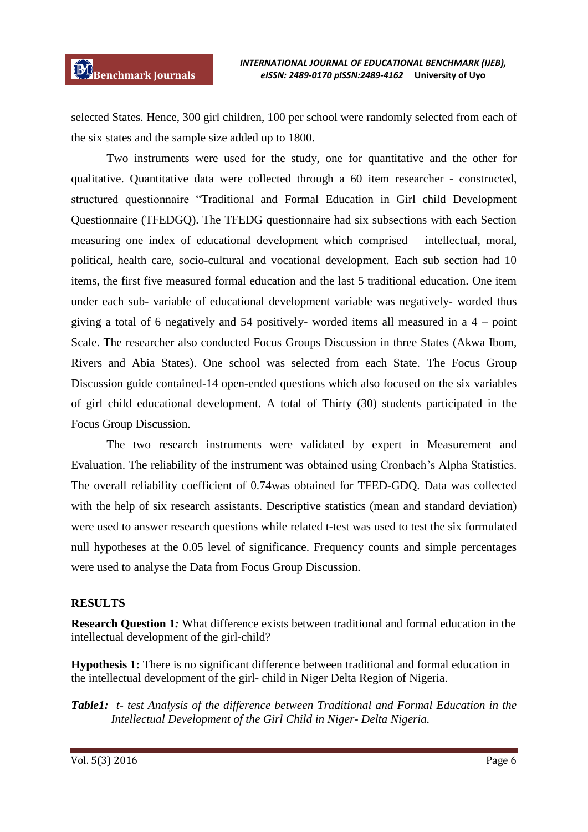selected States. Hence, 300 girl children, 100 per school were randomly selected from each of the six states and the sample size added up to 1800.

Two instruments were used for the study, one for quantitative and the other for qualitative. Quantitative data were collected through a 60 item researcher - constructed, structured questionnaire "Traditional and Formal Education in Girl child Development Questionnaire (TFEDGQ). The TFEDG questionnaire had six subsections with each Section measuring one index of educational development which comprised intellectual, moral, political, health care, socio-cultural and vocational development. Each sub section had 10 items, the first five measured formal education and the last 5 traditional education. One item under each sub- variable of educational development variable was negatively- worded thus giving a total of 6 negatively and 54 positively- worded items all measured in a 4 – point Scale. The researcher also conducted Focus Groups Discussion in three States (Akwa Ibom, Rivers and Abia States). One school was selected from each State. The Focus Group Discussion guide contained-14 open-ended questions which also focused on the six variables of girl child educational development. A total of Thirty (30) students participated in the Focus Group Discussion.

The two research instruments were validated by expert in Measurement and Evaluation. The reliability of the instrument was obtained using Cronbach"s Alpha Statistics. The overall reliability coefficient of 0.74was obtained for TFED-GDQ. Data was collected with the help of six research assistants. Descriptive statistics (mean and standard deviation) were used to answer research questions while related t-test was used to test the six formulated null hypotheses at the 0.05 level of significance. Frequency counts and simple percentages were used to analyse the Data from Focus Group Discussion.

# **RESULTS**

**Research Question 1***:* What difference exists between traditional and formal education in the intellectual development of the girl-child?

**Hypothesis 1:** There is no significant difference between traditional and formal education in the intellectual development of the girl- child in Niger Delta Region of Nigeria.

*Table1: t- test Analysis of the difference between Traditional and Formal Education in the Intellectual Development of the Girl Child in Niger- Delta Nigeria.*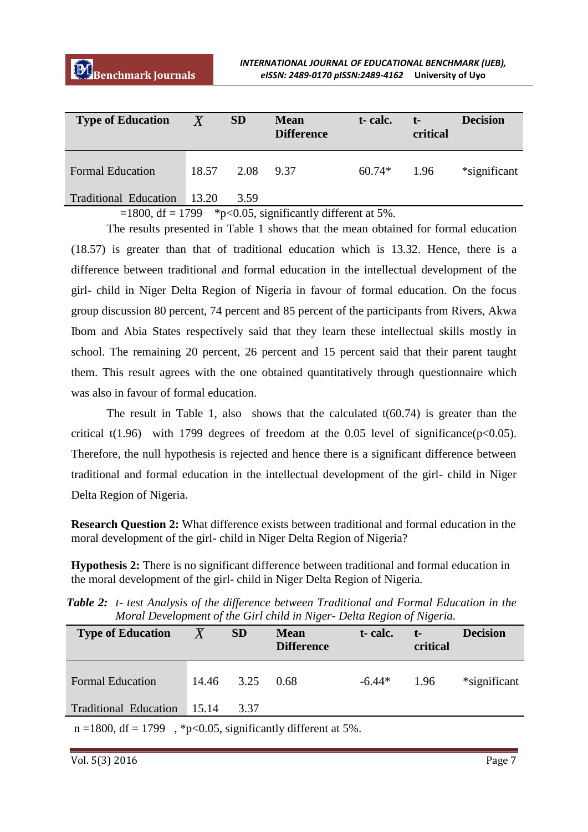| <b>Type of Education</b>     | $\overline{X}$ | <b>SD</b> | <b>Mean</b><br><b>Difference</b>                       | t-calc.  | $t-$<br>critical | <b>Decision</b> |
|------------------------------|----------------|-----------|--------------------------------------------------------|----------|------------------|-----------------|
| <b>Formal Education</b>      | 18.57          | 2.08      | 9.37                                                   | $60.74*$ | 1.96             | *significant    |
| <b>Traditional Education</b> | $-13.20$       | 3.59      |                                                        |          |                  |                 |
|                              |                |           | $1000 \t10 \t1700 \t\t\& \t005 \t\t10 \t\t1100 \t\t\t$ |          |                  |                 |

 $=1800$ , df = 1799 \*p<0.05, significantly different at 5%.

The results presented in Table 1 shows that the mean obtained for formal education (18.57) is greater than that of traditional education which is 13.32. Hence, there is a difference between traditional and formal education in the intellectual development of the girl- child in Niger Delta Region of Nigeria in favour of formal education. On the focus group discussion 80 percent, 74 percent and 85 percent of the participants from Rivers, Akwa Ibom and Abia States respectively said that they learn these intellectual skills mostly in school. The remaining 20 percent, 26 percent and 15 percent said that their parent taught them. This result agrees with the one obtained quantitatively through questionnaire which was also in favour of formal education.

The result in Table 1, also shows that the calculated  $t(60.74)$  is greater than the critical t(1.96) with 1799 degrees of freedom at the 0.05 level of significance( $p<0.05$ ). Therefore, the null hypothesis is rejected and hence there is a significant difference between traditional and formal education in the intellectual development of the girl- child in Niger Delta Region of Nigeria.

**Research Question 2:** What difference exists between traditional and formal education in the moral development of the girl- child in Niger Delta Region of Nigeria?

**Hypothesis 2:** There is no significant difference between traditional and formal education in the moral development of the girl- child in Niger Delta Region of Nigeria*.*

*Table 2: t- test Analysis of the difference between Traditional and Formal Education in the Moral Development of the Girl child in Niger- Delta Region of Nigeria.*

| <b>Type of Education</b>                                        | $\overline{X}$ | <b>SD</b>  | <b>Mean</b><br><b>Difference</b> | t-calc.  | $t-$<br>critical | <b>Decision</b> |  |
|-----------------------------------------------------------------|----------------|------------|----------------------------------|----------|------------------|-----------------|--|
| <b>Formal Education</b>                                         |                | 14.46 3.25 | 0.68                             | $-6.44*$ | 1.96             | *significant    |  |
| Traditional Education 15.14                                     |                | 3.37       |                                  |          |                  |                 |  |
| $n = 1800$ , df = 1799, *p<0.05, significantly different at 5%. |                |            |                                  |          |                  |                 |  |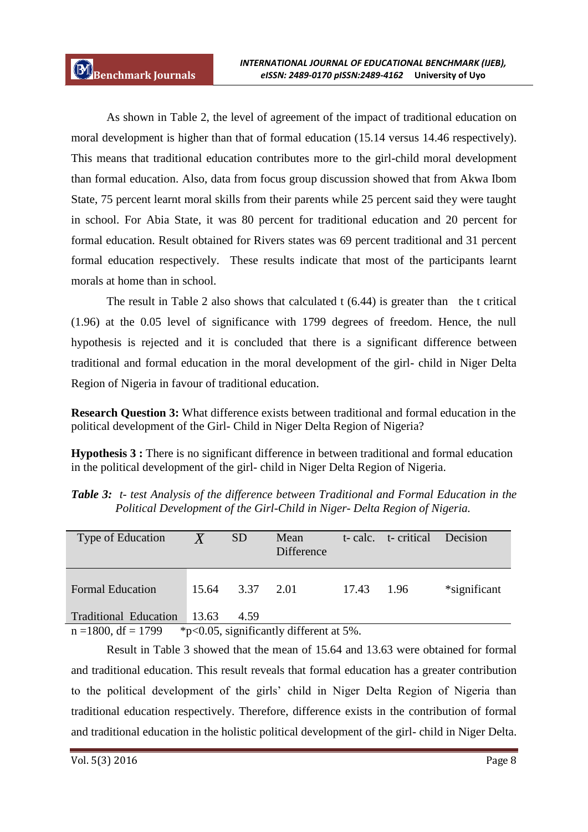As shown in Table 2, the level of agreement of the impact of traditional education on moral development is higher than that of formal education (15.14 versus 14.46 respectively). This means that traditional education contributes more to the girl-child moral development than formal education. Also, data from focus group discussion showed that from Akwa Ibom State, 75 percent learnt moral skills from their parents while 25 percent said they were taught in school. For Abia State, it was 80 percent for traditional education and 20 percent for formal education. Result obtained for Rivers states was 69 percent traditional and 31 percent formal education respectively. These results indicate that most of the participants learnt morals at home than in school.

The result in Table 2 also shows that calculated t (6.44) is greater than the t critical (1.96) at the 0.05 level of significance with 1799 degrees of freedom. Hence, the null hypothesis is rejected and it is concluded that there is a significant difference between traditional and formal education in the moral development of the girl- child in Niger Delta Region of Nigeria in favour of traditional education.

**Research Question 3:** What difference exists between traditional and formal education in the political development of the Girl- Child in Niger Delta Region of Nigeria?

**Hypothesis 3 :** There is no significant difference in between traditional and formal education in the political development of the girl- child in Niger Delta Region of Nigeria.

| Type of Education           | $\overline{X}$ | <b>SD</b>       | Mean<br><b>Difference</b> |            | t-calc. t-critical Decision |              |
|-----------------------------|----------------|-----------------|---------------------------|------------|-----------------------------|--------------|
| <b>Formal Education</b>     |                | 15.64 3.37 2.01 |                           | 17.43 1.96 |                             | *significant |
| Traditional Education 13.63 |                | 4.59            |                           |            |                             |              |

*Table 3: t- test Analysis of the difference between Traditional and Formal Education in the Political Development of the Girl-Child in Niger- Delta Region of Nigeria.*

 $n = 1800$ , df = 1799  $*p < 0.05$ , significantly different at 5%.

Result in Table 3 showed that the mean of 15.64 and 13.63 were obtained for formal and traditional education. This result reveals that formal education has a greater contribution to the political development of the girls" child in Niger Delta Region of Nigeria than traditional education respectively. Therefore, difference exists in the contribution of formal and traditional education in the holistic political development of the girl- child in Niger Delta.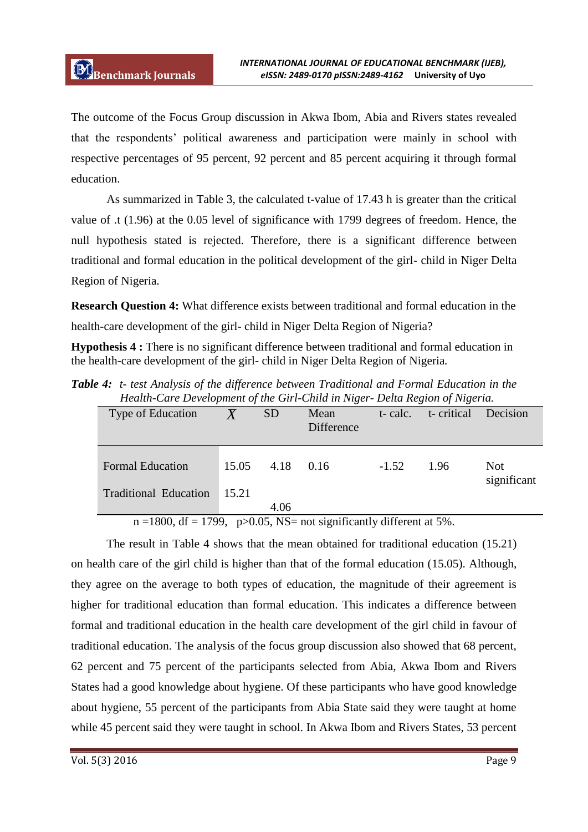The outcome of the Focus Group discussion in Akwa Ibom, Abia and Rivers states revealed that the respondents" political awareness and participation were mainly in school with respective percentages of 95 percent, 92 percent and 85 percent acquiring it through formal education.

As summarized in Table 3, the calculated t-value of 17.43 h is greater than the critical value of .t (1.96) at the 0.05 level of significance with 1799 degrees of freedom. Hence, the null hypothesis stated is rejected. Therefore, there is a significant difference between traditional and formal education in the political development of the girl- child in Niger Delta Region of Nigeria.

**Research Question 4:** What difference exists between traditional and formal education in the health-care development of the girl- child in Niger Delta Region of Nigeria?

**Hypothesis 4 :** There is no significant difference between traditional and formal education in the health-care development of the girl- child in Niger Delta Region of Nigeria*.*

*Table 4: t- test Analysis of the difference between Traditional and Formal Education in the Health-Care Development of the Girl-Child in Niger- Delta Region of Nigeria.*

| Type of Education            |       | <b>SD</b> | Mean<br>Difference | t-calc. | ◡<br>t-critical | Decision                  |
|------------------------------|-------|-----------|--------------------|---------|-----------------|---------------------------|
| <b>Formal Education</b>      | 15.05 | 4.18      | 0.16               | $-1.52$ | 1.96            | <b>Not</b><br>significant |
| <b>Traditional Education</b> | 15.21 | 4.06      |                    |         |                 |                           |

 $n = 1800$ , df = 1799, p $> 0.05$ , NS = not significantly different at 5%.

The result in Table 4 shows that the mean obtained for traditional education (15.21) on health care of the girl child is higher than that of the formal education (15.05). Although, they agree on the average to both types of education, the magnitude of their agreement is higher for traditional education than formal education. This indicates a difference between formal and traditional education in the health care development of the girl child in favour of traditional education. The analysis of the focus group discussion also showed that 68 percent, 62 percent and 75 percent of the participants selected from Abia, Akwa Ibom and Rivers States had a good knowledge about hygiene. Of these participants who have good knowledge about hygiene, 55 percent of the participants from Abia State said they were taught at home while 45 percent said they were taught in school. In Akwa Ibom and Rivers States, 53 percent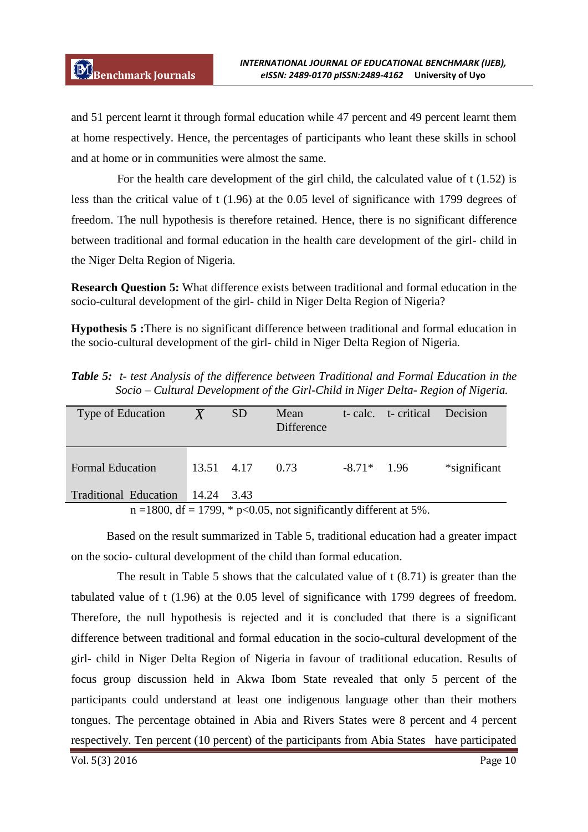and 51 percent learnt it through formal education while 47 percent and 49 percent learnt them at home respectively. Hence, the percentages of participants who leant these skills in school and at home or in communities were almost the same.

For the health care development of the girl child, the calculated value of t (1.52) is less than the critical value of t (1.96) at the 0.05 level of significance with 1799 degrees of freedom. The null hypothesis is therefore retained. Hence, there is no significant difference between traditional and formal education in the health care development of the girl- child in the Niger Delta Region of Nigeria.

**Research Question 5:** What difference exists between traditional and formal education in the socio-cultural development of the girl- child in Niger Delta Region of Nigeria?

**Hypothesis 5 :**There is no significant difference between traditional and formal education in the socio-cultural development of the girl- child in Niger Delta Region of Nigeria*.* 

*Table 5: t- test Analysis of the difference between Traditional and Formal Education in the Socio – Cultural Development of the Girl-Child in Niger Delta- Region of Nigeria.*

| Type of Education                                                    | $\overline{X}$ | SD <sub>1</sub> | Mean<br>Difference |               | t- calc. t- critical | <b>Decision</b> |  |
|----------------------------------------------------------------------|----------------|-----------------|--------------------|---------------|----------------------|-----------------|--|
| <b>Formal Education</b>                                              | 13.51 4.17     |                 | 0.73               | $-8.71*$ 1.96 |                      | *significant    |  |
| Traditional Education 14.24 3.43                                     |                |                 |                    |               |                      |                 |  |
| $n = 1800$ , df = 1799, * p<0.05, not significantly different at 5%. |                |                 |                    |               |                      |                 |  |

Based on the result summarized in Table 5, traditional education had a greater impact on the socio- cultural development of the child than formal education.

The result in Table 5 shows that the calculated value of t (8.71) is greater than the tabulated value of t (1.96) at the 0.05 level of significance with 1799 degrees of freedom. Therefore, the null hypothesis is rejected and it is concluded that there is a significant difference between traditional and formal education in the socio-cultural development of the girl- child in Niger Delta Region of Nigeria in favour of traditional education. Results of focus group discussion held in Akwa Ibom State revealed that only 5 percent of the participants could understand at least one indigenous language other than their mothers tongues. The percentage obtained in Abia and Rivers States were 8 percent and 4 percent respectively. Ten percent (10 percent) of the participants from Abia States have participated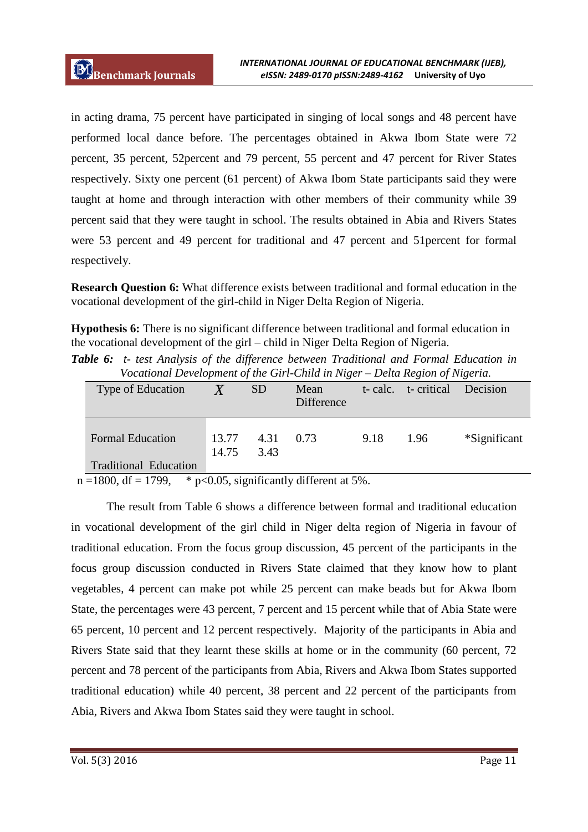in acting drama, 75 percent have participated in singing of local songs and 48 percent have performed local dance before. The percentages obtained in Akwa Ibom State were 72 percent, 35 percent, 52percent and 79 percent, 55 percent and 47 percent for River States respectively. Sixty one percent (61 percent) of Akwa Ibom State participants said they were taught at home and through interaction with other members of their community while 39 percent said that they were taught in school. The results obtained in Abia and Rivers States were 53 percent and 49 percent for traditional and 47 percent and 51percent for formal respectively.

**Research Question 6:** What difference exists between traditional and formal education in the vocational development of the girl-child in Niger Delta Region of Nigeria.

**Hypothesis 6:** There is no significant difference between traditional and formal education in the vocational development of the girl – child in Niger Delta Region of Nigeria.

*Table 6: t- test Analysis of the difference between Traditional and Formal Education in Vocational Development of the Girl-Child in Niger – Delta Region of Nigeria.* 

| Type of Education            |                | <b>SD</b>    | Mean<br>Difference |      | t- calc. t- critical Decision |              |
|------------------------------|----------------|--------------|--------------------|------|-------------------------------|--------------|
| <b>Formal Education</b>      | 13.77<br>14.75 | 4.31<br>3.43 | 0.73               | 9.18 | 1.96                          | *Significant |
| <b>Traditional Education</b> |                |              |                    |      |                               |              |

 $n = 1800$ , df = 1799, \* p<0.05, significantly different at 5%.

The result from Table 6 shows a difference between formal and traditional education in vocational development of the girl child in Niger delta region of Nigeria in favour of traditional education. From the focus group discussion, 45 percent of the participants in the focus group discussion conducted in Rivers State claimed that they know how to plant vegetables, 4 percent can make pot while 25 percent can make beads but for Akwa Ibom State, the percentages were 43 percent, 7 percent and 15 percent while that of Abia State were 65 percent, 10 percent and 12 percent respectively. Majority of the participants in Abia and Rivers State said that they learnt these skills at home or in the community (60 percent, 72 percent and 78 percent of the participants from Abia, Rivers and Akwa Ibom States supported traditional education) while 40 percent, 38 percent and 22 percent of the participants from Abia, Rivers and Akwa Ibom States said they were taught in school.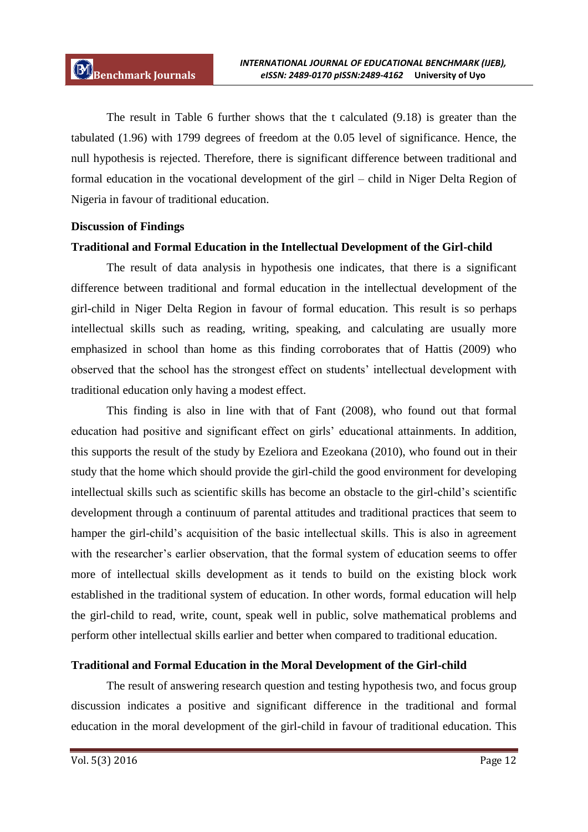The result in Table 6 further shows that the t calculated (9.18) is greater than the tabulated (1.96) with 1799 degrees of freedom at the 0.05 level of significance. Hence, the null hypothesis is rejected. Therefore, there is significant difference between traditional and formal education in the vocational development of the girl – child in Niger Delta Region of Nigeria in favour of traditional education.

## **Discussion of Findings**

## **Traditional and Formal Education in the Intellectual Development of the Girl-child**

The result of data analysis in hypothesis one indicates, that there is a significant difference between traditional and formal education in the intellectual development of the girl-child in Niger Delta Region in favour of formal education. This result is so perhaps intellectual skills such as reading, writing, speaking, and calculating are usually more emphasized in school than home as this finding corroborates that of Hattis (2009) who observed that the school has the strongest effect on students" intellectual development with traditional education only having a modest effect.

This finding is also in line with that of Fant (2008), who found out that formal education had positive and significant effect on girls' educational attainments. In addition, this supports the result of the study by Ezeliora and Ezeokana (2010), who found out in their study that the home which should provide the girl-child the good environment for developing intellectual skills such as scientific skills has become an obstacle to the girl-child"s scientific development through a continuum of parental attitudes and traditional practices that seem to hamper the girl-child's acquisition of the basic intellectual skills. This is also in agreement with the researcher's earlier observation, that the formal system of education seems to offer more of intellectual skills development as it tends to build on the existing block work established in the traditional system of education. In other words, formal education will help the girl-child to read, write, count, speak well in public, solve mathematical problems and perform other intellectual skills earlier and better when compared to traditional education.

# **Traditional and Formal Education in the Moral Development of the Girl-child**

The result of answering research question and testing hypothesis two, and focus group discussion indicates a positive and significant difference in the traditional and formal education in the moral development of the girl-child in favour of traditional education. This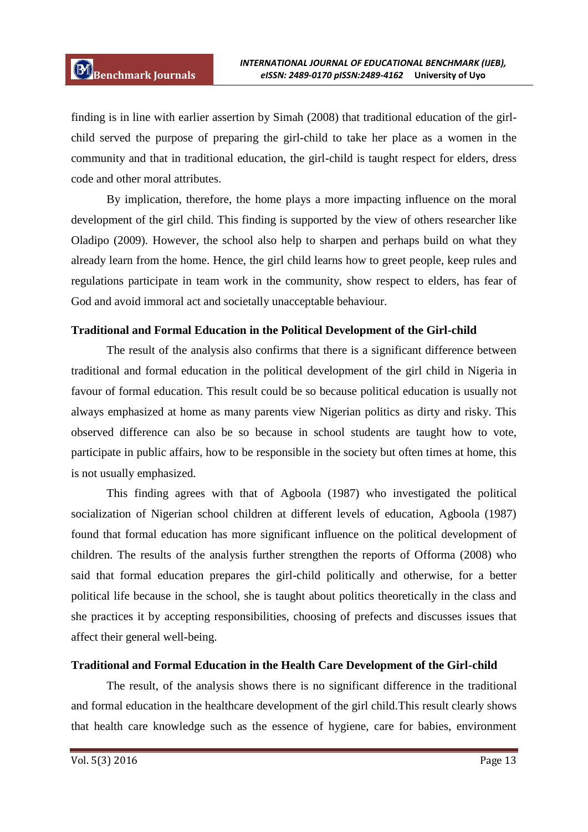finding is in line with earlier assertion by Simah (2008) that traditional education of the girlchild served the purpose of preparing the girl-child to take her place as a women in the community and that in traditional education, the girl-child is taught respect for elders, dress code and other moral attributes.

By implication, therefore, the home plays a more impacting influence on the moral development of the girl child. This finding is supported by the view of others researcher like Oladipo (2009). However, the school also help to sharpen and perhaps build on what they already learn from the home. Hence, the girl child learns how to greet people, keep rules and regulations participate in team work in the community, show respect to elders, has fear of God and avoid immoral act and societally unacceptable behaviour.

# **Traditional and Formal Education in the Political Development of the Girl-child**

The result of the analysis also confirms that there is a significant difference between traditional and formal education in the political development of the girl child in Nigeria in favour of formal education. This result could be so because political education is usually not always emphasized at home as many parents view Nigerian politics as dirty and risky. This observed difference can also be so because in school students are taught how to vote, participate in public affairs, how to be responsible in the society but often times at home, this is not usually emphasized.

This finding agrees with that of Agboola (1987) who investigated the political socialization of Nigerian school children at different levels of education, Agboola (1987) found that formal education has more significant influence on the political development of children. The results of the analysis further strengthen the reports of Offorma (2008) who said that formal education prepares the girl-child politically and otherwise, for a better political life because in the school, she is taught about politics theoretically in the class and she practices it by accepting responsibilities, choosing of prefects and discusses issues that affect their general well-being.

#### **Traditional and Formal Education in the Health Care Development of the Girl-child**

The result, of the analysis shows there is no significant difference in the traditional and formal education in the healthcare development of the girl child.This result clearly shows that health care knowledge such as the essence of hygiene, care for babies, environment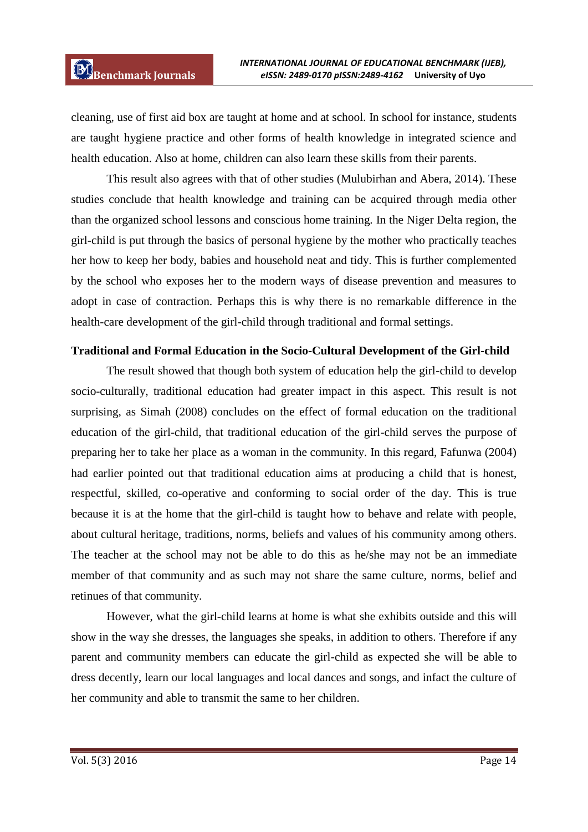cleaning, use of first aid box are taught at home and at school. In school for instance, students are taught hygiene practice and other forms of health knowledge in integrated science and health education. Also at home, children can also learn these skills from their parents.

This result also agrees with that of other studies (Mulubirhan and Abera, 2014). These studies conclude that health knowledge and training can be acquired through media other than the organized school lessons and conscious home training. In the Niger Delta region, the girl-child is put through the basics of personal hygiene by the mother who practically teaches her how to keep her body, babies and household neat and tidy. This is further complemented by the school who exposes her to the modern ways of disease prevention and measures to adopt in case of contraction. Perhaps this is why there is no remarkable difference in the health-care development of the girl-child through traditional and formal settings.

#### **Traditional and Formal Education in the Socio-Cultural Development of the Girl-child**

The result showed that though both system of education help the girl-child to develop socio-culturally, traditional education had greater impact in this aspect. This result is not surprising, as Simah (2008) concludes on the effect of formal education on the traditional education of the girl-child, that traditional education of the girl-child serves the purpose of preparing her to take her place as a woman in the community. In this regard, Fafunwa (2004) had earlier pointed out that traditional education aims at producing a child that is honest, respectful, skilled, co-operative and conforming to social order of the day. This is true because it is at the home that the girl-child is taught how to behave and relate with people, about cultural heritage, traditions, norms, beliefs and values of his community among others. The teacher at the school may not be able to do this as he/she may not be an immediate member of that community and as such may not share the same culture, norms, belief and retinues of that community.

However, what the girl-child learns at home is what she exhibits outside and this will show in the way she dresses, the languages she speaks, in addition to others. Therefore if any parent and community members can educate the girl-child as expected she will be able to dress decently, learn our local languages and local dances and songs, and infact the culture of her community and able to transmit the same to her children.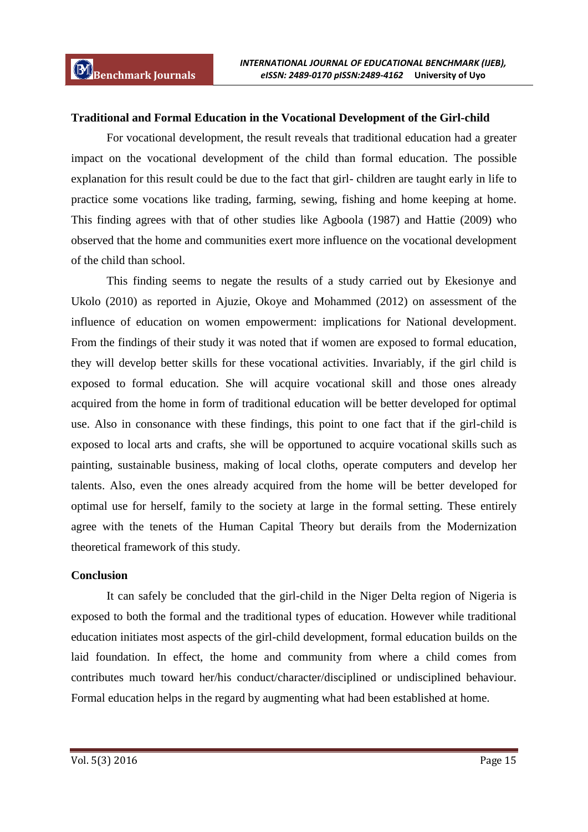## **Traditional and Formal Education in the Vocational Development of the Girl-child**

For vocational development, the result reveals that traditional education had a greater impact on the vocational development of the child than formal education. The possible explanation for this result could be due to the fact that girl- children are taught early in life to practice some vocations like trading, farming, sewing, fishing and home keeping at home. This finding agrees with that of other studies like Agboola (1987) and Hattie (2009) who observed that the home and communities exert more influence on the vocational development of the child than school.

This finding seems to negate the results of a study carried out by Ekesionye and Ukolo (2010) as reported in Ajuzie, Okoye and Mohammed (2012) on assessment of the influence of education on women empowerment: implications for National development. From the findings of their study it was noted that if women are exposed to formal education, they will develop better skills for these vocational activities. Invariably, if the girl child is exposed to formal education. She will acquire vocational skill and those ones already acquired from the home in form of traditional education will be better developed for optimal use. Also in consonance with these findings, this point to one fact that if the girl-child is exposed to local arts and crafts, she will be opportuned to acquire vocational skills such as painting, sustainable business, making of local cloths, operate computers and develop her talents. Also, even the ones already acquired from the home will be better developed for optimal use for herself, family to the society at large in the formal setting. These entirely agree with the tenets of the Human Capital Theory but derails from the Modernization theoretical framework of this study.

#### **Conclusion**

It can safely be concluded that the girl-child in the Niger Delta region of Nigeria is exposed to both the formal and the traditional types of education. However while traditional education initiates most aspects of the girl-child development, formal education builds on the laid foundation. In effect, the home and community from where a child comes from contributes much toward her/his conduct/character/disciplined or undisciplined behaviour. Formal education helps in the regard by augmenting what had been established at home.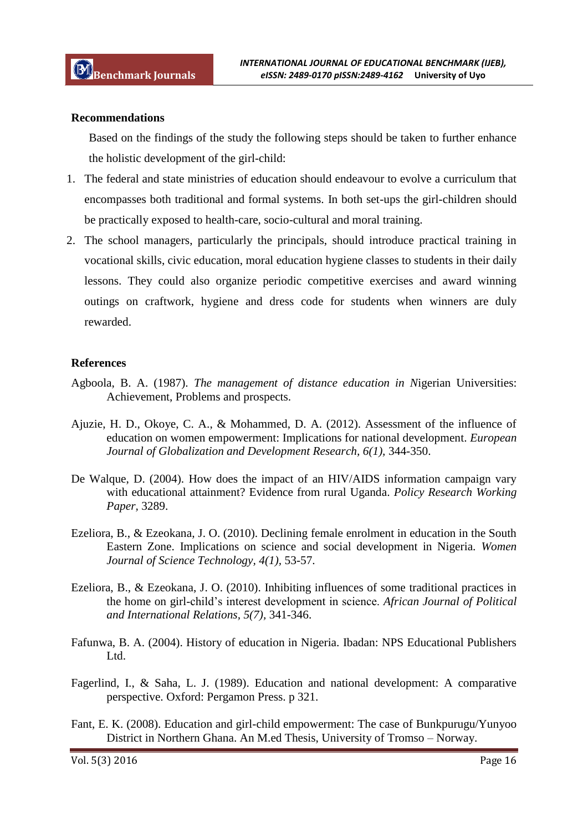#### **Recommendations**

Based on the findings of the study the following steps should be taken to further enhance the holistic development of the girl-child:

- 1. The federal and state ministries of education should endeavour to evolve a curriculum that encompasses both traditional and formal systems. In both set-ups the girl-children should be practically exposed to health-care, socio-cultural and moral training.
- 2. The school managers, particularly the principals, should introduce practical training in vocational skills, civic education, moral education hygiene classes to students in their daily lessons. They could also organize periodic competitive exercises and award winning outings on craftwork, hygiene and dress code for students when winners are duly rewarded.

#### **References**

- Agboola, B. A. (1987). *The management of distance education in N*igerian Universities: Achievement, Problems and prospects.
- Ajuzie, H. D., Okoye, C. A., & Mohammed, D. A. (2012). Assessment of the influence of education on women empowerment: Implications for national development. *European Journal of Globalization and Development Research, 6(1),* 344-350.
- De Walque, D. (2004). How does the impact of an HIV/AIDS information campaign vary with educational attainment? Evidence from rural Uganda. *Policy Research Working Paper,* 3289.
- Ezeliora, B., & Ezeokana, J. O. (2010). Declining female enrolment in education in the South Eastern Zone. Implications on science and social development in Nigeria. *Women Journal of Science Technology, 4(1),* 53-57.
- Ezeliora, B., & Ezeokana, J. O. (2010). Inhibiting influences of some traditional practices in the home on girl-child"s interest development in science. *African Journal of Political and International Relations, 5(7),* 341-346.
- Fafunwa, B. A. (2004). History of education in Nigeria. Ibadan: NPS Educational Publishers Ltd.
- Fagerlind, I., & Saha, L. J. (1989). Education and national development: A comparative perspective. Oxford: Pergamon Press. p 321.
- Fant, E. K. (2008). Education and girl-child empowerment: The case of Bunkpurugu/Yunyoo District in Northern Ghana. An M.ed Thesis, University of Tromso – Norway.